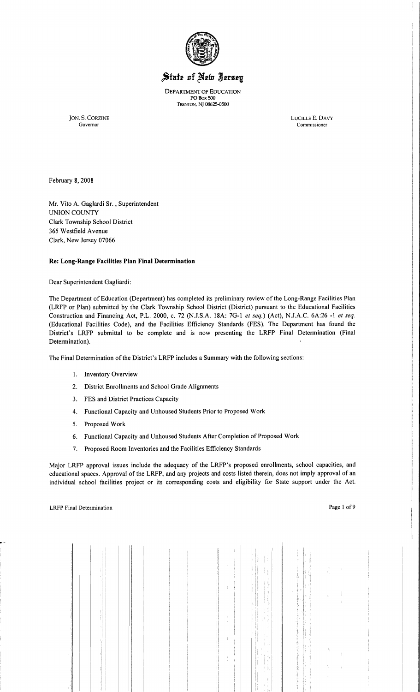

# State of New Jersey

DEPARTMENT OF EDUCATION PO Box 500 TRENTON, NJ 08625-0500

JON. S. CORZINE LUCILLE E. DAVY Governor Commissioner

February 8, 2008

Mr. Vito A. Gaglardi Sr. , Superintendent UNION COUNTY Clark Township School District 365 Westfield Avenue Clark, New Jersey 07066

## **Re: Long-Range Facilities Plan Final Determination**

Dear Superintendent Gagliardi:

The Department of Education (Department) has completed its preliminary review of the Long-Range Facilities Plan (LRFP or Plan) submitted by the Clark Township School District (District) pursuant to the Educational Facilities Construction and Financing Act, P.L. 2000, c. 72 (NJ.S.A. 18A: 7G-l *et seq.)* (Act), NJ.A.C. 6A:26 -1 *et seq.*  (Educational Facilities Code), and the Facilities Efficiency Standards (FES). The Department has found the District's LRFP submittal to be complete and is now presenting the LRFP Final Determination (Final Determination).

The Final Determination of the District's LRFP includes a Summary with the following sections:

- 1. Inventory Overview
- 2. District Enrollments and School Grade Alignments
- 3. FES and District Practices Capacity
- 4. Functional Capacity and Unhoused Students Prior to Proposed Work
- 5. Proposed Work
- 6. Functional Capacity and Unhoused Students After Completion of Proposed Work
- 7. Proposed Room Inventories and the Facilities Efficiency Standards

Major LRFP approval issues include the adequacy of the LRFP's proposed enrollments, school capacities, and educational spaces. Approval of the LRFP, and any projects and costs listed therein, does not imply approval of an individual school facilities project or its corresponding costs and eligibility for State support under the Act.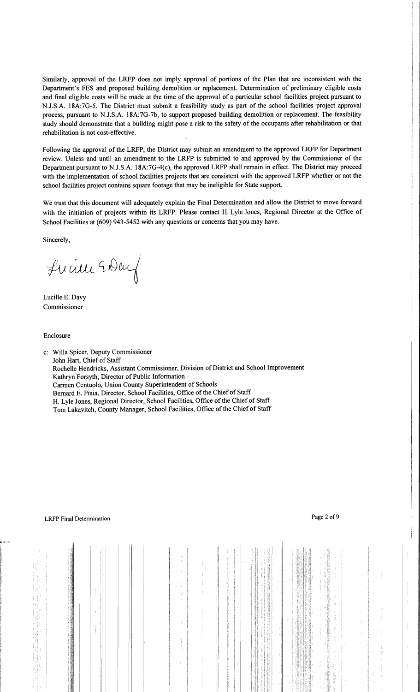Similarly, approval of the LRFP does not imply approval of portions of the Plan that are inconsistent with the Department's FES and proposed building demolition or replacement. Determination of preliminary eligible costs and final eligible costs will be made at the time of the approval of a particular school facilities project pursuant to NJ.S.A. 18A:7G-5. The District must submit a feasibility study as part of the school facilities project approval process, pursuant to N.J.S.A. 18A:7G-7b, to support proposed building demolition or replacement. The feasibility study should demonstrate that a building might pose a risk to the safety of the occupants after rehabilitation or that rehabilitation is not cost-effective.

Following the approval of the LRFP, the District may submit an amendment to the approved LRFP for Department review. Unless and until an amendment to the LRFP is submitted to and approved by the Commissioner of the Department pursuant to N.J.S.A. 18A:7G-4(c), the approved LRFP shall remain in effect. The District may proceed with the implementation of school facilities projects that are consistent with the approved LRFP whether or not the school facilities project contains square footage that may be ineligible for State support.

We trust that this document will adequately explain the Final Determination and allow the District to move forward with the initiation of projects within its LRFP. Please contact H. Lyle Jones, Regional Director at the Office of School Facilities at (609) 943-5452 with any questions or concerns that you may have.

Sincerely,

Lucille EDeuf

Lucille E. Davy Commissioner

Enclosure

c: Willa Spicer, Deputy Commissioner John Hart, Chief of Staff Rochelle Hendricks, Assistant Commissioner, Division of District and School Improvement Kathryn Forsyth, Director of Public Information Carmen Centuolo, Union County Superintendent of Schools Bernard E. Piaia, Director, School Facilities, Office of the Chief of Staff H. Lyle Jones, Regional Director, School Facilities, Office of the Chief of Staff Tom Lakavitch, County Manager, School Facilities, Office of the Chief of Staff

 $\Lambda$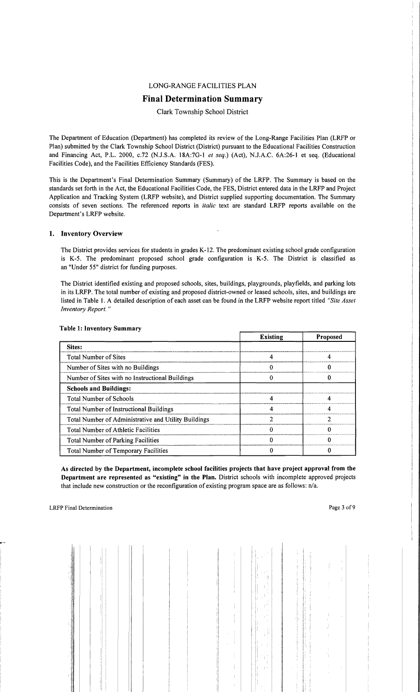## LONG-RANGE FACILITIES PLAN

# Final Determination Summary

## Clark Township School District

The Department of Education (Department) has completed its review of the Long-Range Facilities Plan (LRFP or Plan) submitted by the Clark Township School District (District) pursuant to the Educational Facilities Construction and Financing Act, P.L. 2000, c.72 (NJ.S.A. 18A:7G-I *et seq.)* (Act), NJ.A.C. 6A:26-1 et seq. (Educational Facilities Code), and the Facilities Efficiency Standards (FES).

This is the Department's Final Determination Summary (Summary) of the LRFP. The Summary is based on the standards set forth in the Act, the Educational Facilities Code, the FES, District entered data in the LRFP and Project Application and Tracking System (LRFP website), and District supplied supporting documentation. The Summary consists of seven sections. The referenced reports in *italic* text are standard LRFP reports available on the Department's LRFP website.

## 1. Inventory Overview

The District provides services for students in grades K-12. The predominant existing school grade configuration is K-5. The predominant proposed school grade configuration is K-5. The District is classified as an "Under 55" district for funding purposes.

The District identified existing and proposed schools, sites, buildings, playgrounds, playfields, and parking lots in its LRFP. The total number of existing and proposed district-owned or leased schools, sites, and buildings are listed in Table I. A detailed description of each asset can be found in the LRFP website report titled *"Site Asset Inventory Report. "* 

|                                                      | <b>Existing</b> | <b>Proposed</b> |
|------------------------------------------------------|-----------------|-----------------|
| Sites:                                               |                 |                 |
| <b>Total Number of Sites</b>                         |                 |                 |
| Number of Sites with no Buildings                    |                 |                 |
| Number of Sites with no Instructional Buildings      |                 |                 |
| <b>Schools and Buildings:</b>                        |                 |                 |
| <b>Total Number of Schools</b>                       |                 |                 |
| Total Number of Instructional Buildings              |                 |                 |
| Total Number of Administrative and Utility Buildings |                 | າ               |
| Total Number of Athletic Facilities                  |                 |                 |
| Total Number of Parking Facilities                   |                 |                 |
| Total Number of Temporary Facilities                 |                 |                 |

#### Table 1: Inventory Summary

As directed by the Department, incomplete school facilities projects that have project approval from the Department are represented as "existing" in the Plan. District schools with incomplete approved projects that include new construction or the reconfiguration of existing program space are as follows: n/a.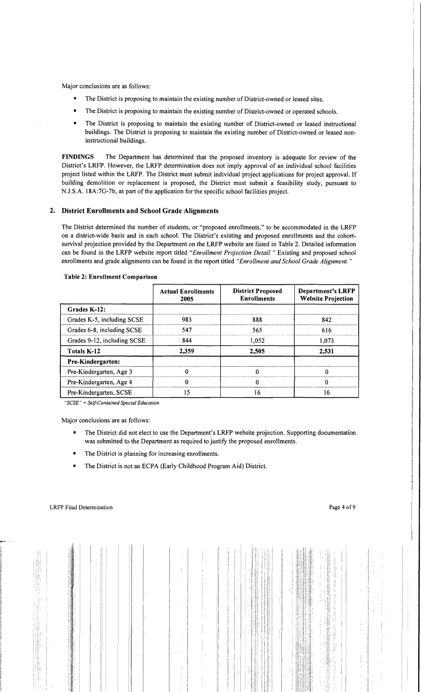Major conclusions are as follows:

- The District is proposing to maintain the existing number of District-owned or leased sites.
- The District is proposing to maintain the existing number of District-owned or operated schools.
- • The District is proposing to maintain the existing number of District-owned or leased instructional buildings. The District is proposing to maintain the existing number of District-owned or leased noninstructional buildings.

FINDINGS The Department has determined that the proposed inventory is adequate for review of the District's LRFP. However, the LRFP determination does not imply approval of an individual school facilities project listed within the LRFP. The District must submit individual project applications for project approval. If building demolition or replacement is proposed, the District must submit a feasibility study, pursuant to NJ.S.A. 18A:7G-7b, as part of the application for the specific school facilities project.

## 2. District Enrollments and School Grade Alignments

The District determined the number of students, or "proposed enrollments," to be accommodated in the LRFP on a district-wide basis and in each school. The District's existing and proposed enrollments and the cohortsurvival projection provided by the Department on the LRFP website are listed in Table 2. Detailed information can be found in the LRFP website report titled "Enrollment Projection Detail." Existing and proposed school enrollments and grade alignments can be found in the report titled *"Enrollment and School Grade Alignment. "* 

|                             | <b>Actual Enrollments</b><br>2005 | <b>District Proposed</b><br><b>Enrollments</b> | <b>Department's LRFP</b><br><b>Website Projection</b> |
|-----------------------------|-----------------------------------|------------------------------------------------|-------------------------------------------------------|
| Grades K-12:                |                                   |                                                |                                                       |
| Grades K-5, including SCSE  | 983                               | 888                                            | 842                                                   |
| Grades 6-8, including SCSE  | 547                               | 565                                            | 616                                                   |
| Grades 9-12, including SCSE | 844                               | 1,052                                          | 1,073                                                 |
| Totals K-12                 | 2,359                             | 2,505                                          | 2,531                                                 |
| Pre-Kindergarten:           |                                   |                                                |                                                       |
| Pre-Kindergarten, Age 3     |                                   |                                                |                                                       |
| Pre-Kindergarten, Age 4     |                                   |                                                | ∩                                                     |
| Pre-Kindergarten, SCSE      | 15                                | 16                                             | 16                                                    |

#### Table 2: Enrollment Comparison

*"SCSE"* = *Self-Contained Special Education* 

Major conclusions are as follows:

- The District did not elect to use the Department's LRFP website projection. Supporting documentation was submitted to the Department as required to justify the proposed enrollments.
- The District is planning for increasing enrollments.
- The District is not an ECPA (Early Childhood Program Aid) District.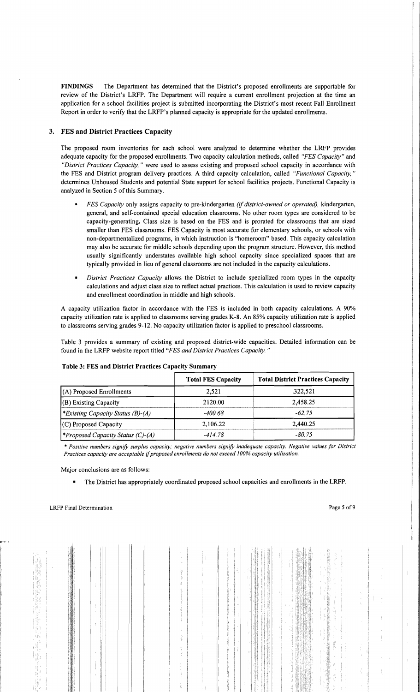FINDINGS The Department has determined that the District's proposed enrollments are supportable for review of the District's LRFP. The Department will require a current enrollment projection at the time an application for a school facilities project is submitted incorporating the District's most recent Fall Enrollment Report in order to verify that the LRFP's planned capacity is appropriate for the updated enrollments.

## 3. FES and District Practices Capacity

The proposed room inventories for each school were analyzed to detennine whether the LRFP provides adequate capacity for the proposed enrollments. Two capacity calculation methods, called *"FES Capacity"* and *"District Practices Capacity,* " were used to assess existing and proposed school capacity in accordance with the FES and District program delivery practices. A third capacity calculation, called *"Functional Capacity, "*  detennines Unhoused Students and potential State support for school facilities projects. Functional Capacity is analyzed in Section 5 of this Summary.

- $\blacksquare$ *FES Capacity* only assigns capacity to pre-kindergarten *(if district-owned or operated),* kindergarten, general, and self-contained special education classrooms. No other room types are considered to be capacity-generating. Class size is based on the FES and is prorated for classrooms that are sized smaller than FES classrooms. FES Capacity is most accurate for elementary schools, or schools with non-departmentalized programs, in which instruction is "homeroom" based. This capacity calculation may also be accurate for middle schools depending upon the program structure. However, this method usually significantly understates available high school capacity since specialized spaces that are typically provided in lieu of general classrooms are not included in the capacity calculations.
- *District Practices Capacity* allows the District to include specialized room types in the capacity calculations and adjust class size to reflect actual practices. This calculation is used to review capacity and enrollment coordination in middle and high schools.

A capacity utilization factor in accordance with the FES is included in both capacity calculations. A 90% capacity utilization rate is applied to classrooms serving grades K-8. An 85% capacity utilization rate is applied to classrooms serving grades 9-12. No capacity utilization factor is applied to preschool classrooms.

Table 3 provides a summary of existing and proposed district-wide capacities. Detailed infonnation can be found in the LRFP website report titled *"FES and District Practices Capacity. "* 

|                                                 | <b>Total FES Capacity</b> | <b>Total District Practices Capacity</b> |
|-------------------------------------------------|---------------------------|------------------------------------------|
| $(A)$ Proposed Enrollments                      | 2,521                     | .322,521                                 |
| (B) Existing Capacity                           | 2120.00                   | 2,458.25                                 |
| <sup>*</sup> Existing Capacity Status (B)-(A)   | -400.68                   | $-62.75$                                 |
| $(C)$ Proposed Capacity                         | 2,106.22                  | 2,440.25                                 |
| <i><b>*Proposed Capacity Status (C)-(A)</b></i> | $-414.78$                 | $-80.75$                                 |

#### Table 3: FES and District Practices Capacity Summary

\* *Positive numbers signify surplus capacity; negative numbers signify inadequate capacity. Negative values for District Practices capacity are acceptable* if*proposed enrollments do not exceed 100% capacity utilization.* 

Major conclusions are as follows:

• The District has appropriately coordinated proposed school capacities and enrollments in the LRFP.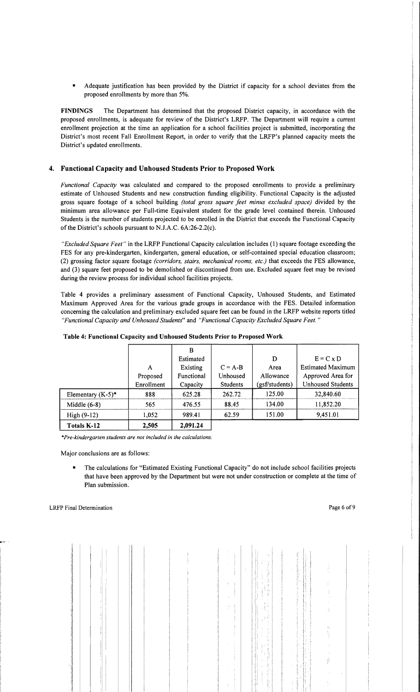Adequate justification has been provided by the District if capacity for a school deviates from the proposed enrollments by more than 5%.

FINDINGS The Department has determined that the proposed District capacity, in accordance with the proposed enrollments, is adequate for review of the District's LRFP. The Department will require a current enrollment projection at the time an application for a school facilities project is submitted, incorporating the District's most recent Fall Enrollment Report, in order to verify that the LRFP's planned capacity meets the District's updated enrollments.

# 4. Functional Capacity and Unhoused Students Prior to Proposed Work

*Functional Capacity* was calculated and compared to the proposed enrollments to provide a preliminary estimate of Unhoused Students and new construction funding eligibility. Functional Capacity is the adjusted gross square footage of a school building *(total gross square feet minus excluded space)* divided by the minimum area allowance per Full-time Equivalent student for the grade level contained therein. Unhoused Students is the number of students projected to be enrolled in the District that exceeds the Functional Capacity of the District's schools pursuant to NJ.A.C. 6A:26-2.2(c).

*"Excluded Square Feet"* in the LRFP Functional Capacity calculation includes (1) square footage exceeding the FES for any pre-kindergarten, kindergarten, general education, or self-contained special education classroom; (2) grossing factor square footage *(corridors, stairs, mechanical rooms, etc.)* that exceeds the FES allowance, and (3) square feet proposed to be demolished or discontinued from use. Excluded square feet may be revised during the review process for individual school facilities projects.

Table 4 provides a preliminary assessment of Functional Capacity, Unhoused Students, and Estimated Maximum Approved Area for the various grade groups in accordance with the FES. Detailed information concerning the calculation and preliminary excluded square feet can be found in the LRFP website reports titled *"Functional Capacity and Unhoused Students"* and *"Functional Capacity Excluded Square Feet. "* 

|                      |            | в          |           |                |                          |
|----------------------|------------|------------|-----------|----------------|--------------------------|
|                      |            | Estimated  |           | D              | $E = C x D$              |
|                      | A          | Existing   | $C = A-B$ | Area           | <b>Estimated Maximum</b> |
|                      | Proposed   | Functional | Unhoused  | Allowance      | Approved Area for        |
|                      | Enrollment | Capacity   | Students  | (gsf/students) | <b>Unhoused Students</b> |
| Elementary $(K-5)^*$ | 888        | 625.28     | 262.72    | 125.00         | 32,840.60                |
| Middle $(6-8)$       | 565        | 476.55     | 88.45     | 134.00         | 11,852.20                |
| High $(9-12)$        | 1,052      | 989.41     | 62.59     | 151.00         | 9,451.01                 |
| Totals K-12          | 2,505      | 2,091.24   |           |                |                          |

| Table 4: Functional Capacity and Unhoused Students Prior to Proposed Work |
|---------------------------------------------------------------------------|
|---------------------------------------------------------------------------|

*""Pre-kindergarten students are not included in the calculations.* 

Major conclusions are as follows:

• The calculations for "Estimated Existing Functional Capacity" do not include school facilities projects that have been approved by the Department but were not under construction or complete at the time of Plan submission.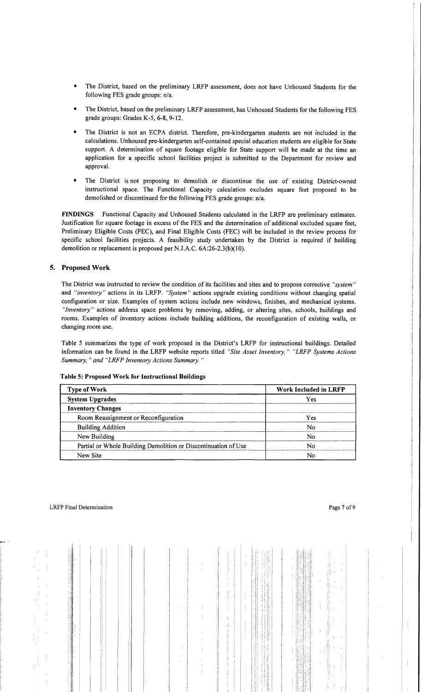- The District, based on the preliminary LRFP assessment, does not have Unhoused Students for the following FES grade groups: n/a.
- • The District, based on the preliminary LRFP assessment, has Unhoused Students for the following FES grade groups: Grades K-5, 6-8, 9-12.
- • The District is not an ECPA district. Therefore, pre-kindergarten students are not included in the calculations. Unhoused pre-kindergarten self-contained special education students are eligible for State support. A determination of square footage eligible for State support will be made at the time an application for a specific school facilities project is submitted to the Department for review and approval.
- The District is not proposing to demolish or discontinue the use of existing District-owned instructional space. The Functional Capacity calculation excludes square feet proposed to be demolished or discontinued for the following FES grade groups: n/a.

FINDINGS Functional Capacity and Unhoused Students calculated in the LRFP are preliminary estimates. Justification for square footage in excess of the FES and the determination of additional excluded square feet, Preliminary Eligible Costs (PEC), and Final Eligible Costs (FEC) will be included in the review process for specific school facilities projects. A feasibility study undertaken by the District is required if building demolition or replacement is proposed per NJ.A.C. 6A:26-2.3(b)(10).

## 5. Proposed Work

The District was instructed to review the condition of its facilities and sites and to propose corrective *"system"*  and *"inventory"* actions in its LRFP. *"System"* actions upgrade existing conditions without changing spatial configuration or size. Examples of system actions include new windows, finishes, and mechanical systems. *"Inventory"* actions address space problems by removing, adding, or altering sites, schools, buildings and rooms. Examples of inventory actions include building additions, the reconfiguration of existing walls, or changing room use.

Table 5 summarizes the type of work proposed in the District's LRFP for instructional buildings. Detailed information can be found in the LRFP website reports titled *"Site Asset Inventory," "LRFP Systems Actions Summary,* " *and "LRFP Inventory Actions Summary. "* 

| <b>Type of Work</b>                                            | Work Included in LRFP |  |  |
|----------------------------------------------------------------|-----------------------|--|--|
| <b>System Upgrades</b>                                         | Yes                   |  |  |
| <b>Inventory Changes</b>                                       |                       |  |  |
| Room Reassignment or Reconfiguration                           | Yes                   |  |  |
| <b>Building Addition</b>                                       | N٥                    |  |  |
| New Building                                                   | N٥                    |  |  |
| Partial or Whole Building Demolition or Discontinuation of Use | Ν٥                    |  |  |
| New Site                                                       |                       |  |  |

## Table 5: Proposed Work for Instructional Buildings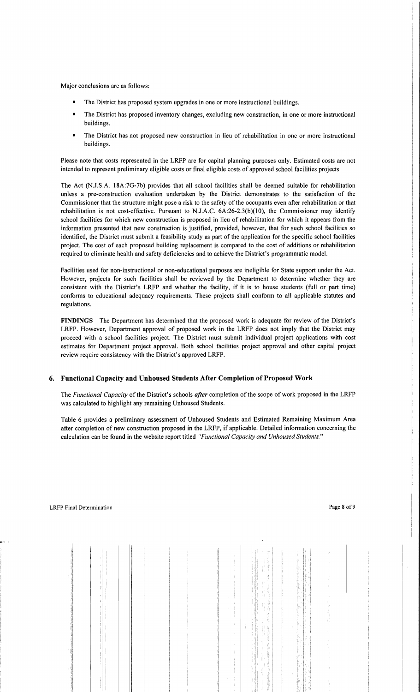Major conclusions are as follows:

- The District has proposed system upgrades in one or more instructional buildings.
- The District has proposed inventory changes, excluding new construction, in one or more instructional buildings.
- The District has not proposed new construction in lieu of rehabilitation in one or more instructional buildings.

Please note that costs represented in the LRFP are for capital planning purposes only. Estimated costs are not intended to represent preliminary eligible costs or final eligible costs of approved school facilities projects.

The Act (NJ.S.A. 18A:7G-7b) provides that all school facilities shall be deemed suitable for rehabilitation unless a pre-construction evaluation undertaken by the District demonstrates to the satisfaction of the Commissioner that the structure might pose a risk to the safety of the occupants even after rehabilitation or that rehabilitation is not cost-effective. Pursuant to N.J.A.C.  $6A:26-2.3(b)(10)$ , the Commissioner may identify school facilities for which new construction is proposed in lieu of rehabilitation for which it appears from the information presented that new construction is justified, provided, however, that for such school facilities so identified, the District must submit a feasibility study as part of the application for the specific school facilities project. The cost of each proposed building replacement is compared to the cost of additions or rehabilitation required to eliminate health and safety deficiencies and to achieve the District's programmatic model.

Facilities used for non-instructional or non-educational purposes are ineligible for State support under the Act. However, projects for such facilities shall be reviewed by the Department to determine whether they are consistent with the District's LRFP and whether the facility, if it is to house students (full or part time) conforms to educational adequacy requirements. These projects shall conform to all applicable statutes and regulations.

FINDINGS The Department has determined that the proposed work is adequate for review of the District's LRFP. However, Department approval of proposed work in the LRFP does not imply that the District may proceed with a school facilities project. The District must submit individual project applications with cost estimates for Department project approval. Both school facilities project approval and other capital project review require consistency with the District's approved LRFP.

## 6. Functional Capacity and Unhoused Students After Completion of Proposed Work

The *Functional Capacity* of the District's schools *after* completion of the scope of work proposed in the LRFP was calculated to highlight any remaining Unhoused Students.

Table 6 provides a preliminary assessment of Unhoused Students and Estimated Remaining Maximum Area after completion of new construction proposed in the LRFP, if applicable. Detailed information concerning the calculation can be found in the website report titled *"Functional Capacity and Unhoused Students."*